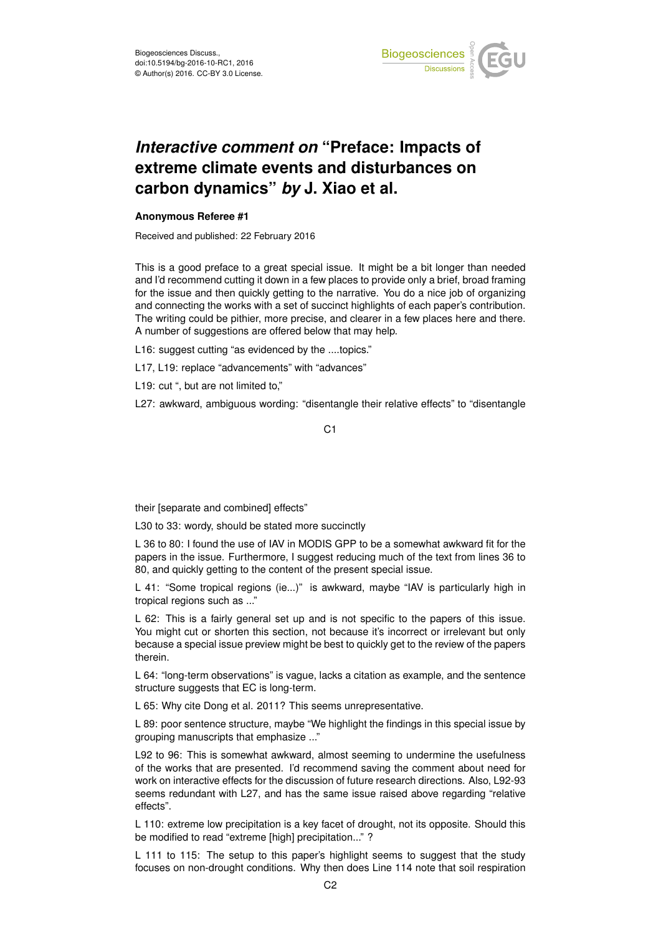

## *Interactive comment on* **"Preface: Impacts of extreme climate events and disturbances on carbon dynamics"** *by* **J. Xiao et al.**

## **Anonymous Referee #1**

Received and published: 22 February 2016

This is a good preface to a great special issue. It might be a bit longer than needed and I'd recommend cutting it down in a few places to provide only a brief, broad framing for the issue and then quickly getting to the narrative. You do a nice job of organizing and connecting the works with a set of succinct highlights of each paper's contribution. The writing could be pithier, more precise, and clearer in a few places here and there. A number of suggestions are offered below that may help.

L16: suggest cutting "as evidenced by the ....topics."

L17, L19: replace "advancements" with "advances"

L19: cut ", but are not limited to,"

L27: awkward, ambiguous wording: "disentangle their relative effects" to "disentangle

C<sub>1</sub>

their [separate and combined] effects"

L30 to 33: wordy, should be stated more succinctly

L 36 to 80: I found the use of IAV in MODIS GPP to be a somewhat awkward fit for the papers in the issue. Furthermore, I suggest reducing much of the text from lines 36 to 80, and quickly getting to the content of the present special issue.

L 41: "Some tropical regions (ie...)" is awkward, maybe "IAV is particularly high in tropical regions such as ..."

L 62: This is a fairly general set up and is not specific to the papers of this issue. You might cut or shorten this section, not because it's incorrect or irrelevant but only because a special issue preview might be best to quickly get to the review of the papers therein.

L 64: "long-term observations" is vague, lacks a citation as example, and the sentence structure suggests that EC is long-term.

L 65: Why cite Dong et al. 2011? This seems unrepresentative.

L 89: poor sentence structure, maybe "We highlight the findings in this special issue by grouping manuscripts that emphasize ..."

L92 to 96: This is somewhat awkward, almost seeming to undermine the usefulness of the works that are presented. I'd recommend saving the comment about need for work on interactive effects for the discussion of future research directions. Also, L92-93 seems redundant with L27, and has the same issue raised above regarding "relative effects".

L 110: extreme low precipitation is a key facet of drought, not its opposite. Should this be modified to read "extreme [high] precipitation..." ?

L 111 to 115: The setup to this paper's highlight seems to suggest that the study focuses on non-drought conditions. Why then does Line 114 note that soil respiration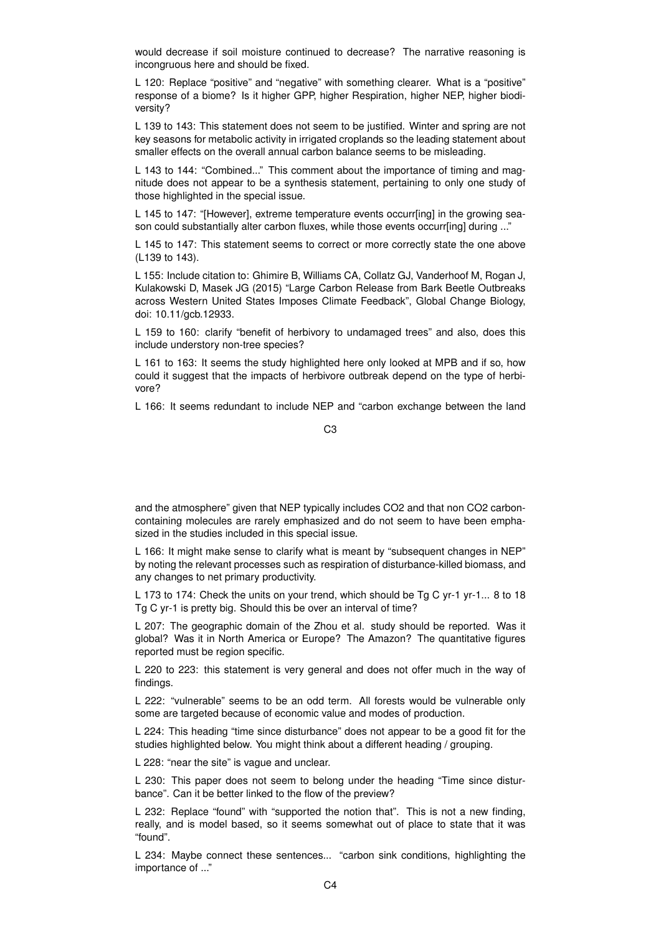would decrease if soil moisture continued to decrease? The narrative reasoning is incongruous here and should be fixed.

L 120: Replace "positive" and "negative" with something clearer. What is a "positive" response of a biome? Is it higher GPP, higher Respiration, higher NEP, higher biodiversity?

L 139 to 143: This statement does not seem to be justified. Winter and spring are not key seasons for metabolic activity in irrigated croplands so the leading statement about smaller effects on the overall annual carbon balance seems to be misleading.

L 143 to 144: "Combined..." This comment about the importance of timing and magnitude does not appear to be a synthesis statement, pertaining to only one study of those highlighted in the special issue.

L 145 to 147: "[However], extreme temperature events occurr[ing] in the growing season could substantially alter carbon fluxes, while those events occurr[ing] during ..."

L 145 to 147: This statement seems to correct or more correctly state the one above (L139 to 143).

L 155: Include citation to: Ghimire B, Williams CA, Collatz GJ, Vanderhoof M, Rogan J, Kulakowski D, Masek JG (2015) "Large Carbon Release from Bark Beetle Outbreaks across Western United States Imposes Climate Feedback", Global Change Biology, doi: 10.11/gcb.12933.

L 159 to 160: clarify "benefit of herbivory to undamaged trees" and also, does this include understory non-tree species?

L 161 to 163: It seems the study highlighted here only looked at MPB and if so, how could it suggest that the impacts of herbivore outbreak depend on the type of herbivore?

L 166: It seems redundant to include NEP and "carbon exchange between the land

and the atmosphere" given that NEP typically includes CO2 and that non CO2 carboncontaining molecules are rarely emphasized and do not seem to have been emphasized in the studies included in this special issue.

L 166: It might make sense to clarify what is meant by "subsequent changes in NEP" by noting the relevant processes such as respiration of disturbance-killed biomass, and any changes to net primary productivity.

L 173 to 174: Check the units on your trend, which should be Tg C yr-1 yr-1... 8 to 18 Tg C yr-1 is pretty big. Should this be over an interval of time?

L 207: The geographic domain of the Zhou et al. study should be reported. Was it global? Was it in North America or Europe? The Amazon? The quantitative figures reported must be region specific.

L 220 to 223: this statement is very general and does not offer much in the way of findings.

L 222: "vulnerable" seems to be an odd term. All forests would be vulnerable only some are targeted because of economic value and modes of production.

L 224: This heading "time since disturbance" does not appear to be a good fit for the studies highlighted below. You might think about a different heading / grouping.

L 228: "near the site" is vague and unclear.

L 230: This paper does not seem to belong under the heading "Time since disturbance". Can it be better linked to the flow of the preview?

L 232: Replace "found" with "supported the notion that". This is not a new finding, really, and is model based, so it seems somewhat out of place to state that it was "found".

L 234: Maybe connect these sentences... "carbon sink conditions, highlighting the importance of ..."

C3